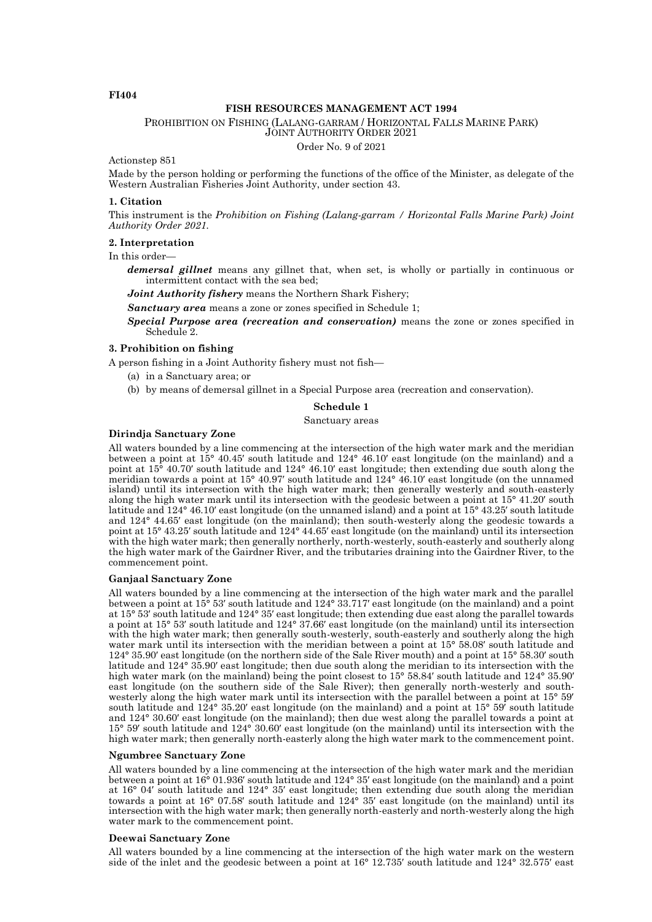# **FI404**

## **FISH RESOURCES MANAGEMENT ACT 1994**

PROHIBITION ON FISHING (LALANG-GARRAM / HORIZONTAL FALLS MARINE PARK) JOINT AUTHORITY ORDER 2021

Order No. 9 of 2021

Actionstep 851

Made by the person holding or performing the functions of the office of the Minister, as delegate of the Western Australian Fisheries Joint Authority, under section 43.

#### **1. Citation**

This instrument is the *Prohibition on Fishing (Lalang-garram / Horizontal Falls Marine Park) Joint Authority Order 2021.*

#### **2. Interpretation**

In this order—

*demersal gillnet* means any gillnet that, when set, is wholly or partially in continuous or intermittent contact with the sea bed;

*Joint Authority fishery* means the Northern Shark Fishery;

*Sanctuary area* means a zone or zones specified in Schedule 1;

*Special Purpose area (recreation and conservation)* means the zone or zones specified in Schedule<sub>2</sub>.

#### **3. Prohibition on fishing**

A person fishing in a Joint Authority fishery must not fish—

- (a) in a Sanctuary area; or
- (b) by means of demersal gillnet in a Special Purpose area (recreation and conservation).

#### **Schedule 1**

Sanctuary areas

### **Dirindja Sanctuary Zone**

All waters bounded by a line commencing at the intersection of the high water mark and the meridian between a point at 15° 40.45′ south latitude and 124° 46.10′ east longitude (on the mainland) and a point at 15° 40.70′ south latitude and 124° 46.10′ east longitude; then extending due south along the meridian towards a point at 15° 40.97′ south latitude and 124° 46.10′ east longitude (on the unnamed island) until its intersection with the high water mark; then generally westerly and south-easterly along the high water mark until its intersection with the geodesic between a point at 15° 41.20′ south latitude and 124° 46.10′ east longitude (on the unnamed island) and a point at 15° 43.25′ south latitude and 124° 44.65′ east longitude (on the mainland); then south-westerly along the geodesic towards a point at 15° 43.25′ south latitude and 124° 44.65′ east longitude (on the mainland) until its intersection with the high water mark; then generally northerly, north-westerly, south-easterly and southerly along the high water mark of the Gairdner River, and the tributaries draining into the Gairdner River, to the commencement point.

### **Ganjaal Sanctuary Zone**

All waters bounded by a line commencing at the intersection of the high water mark and the parallel between a point at 15° 53′ south latitude and 124° 33.717′ east longitude (on the mainland) and a point at 15° 53′ south latitude and 124° 35′ east longitude; then extending due east along the parallel towards a point at 15° 53′ south latitude and 124° 37.66′ east longitude (on the mainland) until its intersection with the high water mark; then generally south-westerly, south-easterly and southerly along the high water mark until its intersection with the meridian between a point at  $15^{\circ}$  58.08′ south latitude and 124° 35.90′ east longitude (on the northern side of the Sale River mouth) and a point at 15° 58.30′ south latitude and 124° 35.90′ east longitude; then due south along the meridian to its intersection with the high water mark (on the mainland) being the point closest to 15° 58.84′ south latitude and 124° 35.90′ east longitude (on the southern side of the Sale River); then generally north-westerly and southwesterly along the high water mark until its intersection with the parallel between a point at  $15^{\circ}$  59' south latitude and 124° 35.20′ east longitude (on the mainland) and a point at 15° 59′ south latitude and 124° 30.60′ east longitude (on the mainland); then due west along the parallel towards a point at 15° 59′ south latitude and 124° 30.60′ east longitude (on the mainland) until its intersection with the high water mark; then generally north-easterly along the high water mark to the commencement point.

#### **Ngumbree Sanctuary Zone**

All waters bounded by a line commencing at the intersection of the high water mark and the meridian between a point at 16° 01.936′ south latitude and 124° 35′ east longitude (on the mainland) and a point at 16° 04′ south latitude and 124° 35′ east longitude; then extending due south along the meridian towards a point at 16° 07.58′ south latitude and 124° 35′ east longitude (on the mainland) until its intersection with the high water mark; then generally north-easterly and north-westerly along the high water mark to the commencement point.

#### **Deewai Sanctuary Zone**

All waters bounded by a line commencing at the intersection of the high water mark on the western side of the inlet and the geodesic between a point at 16° 12.735′ south latitude and 124° 32.575′ east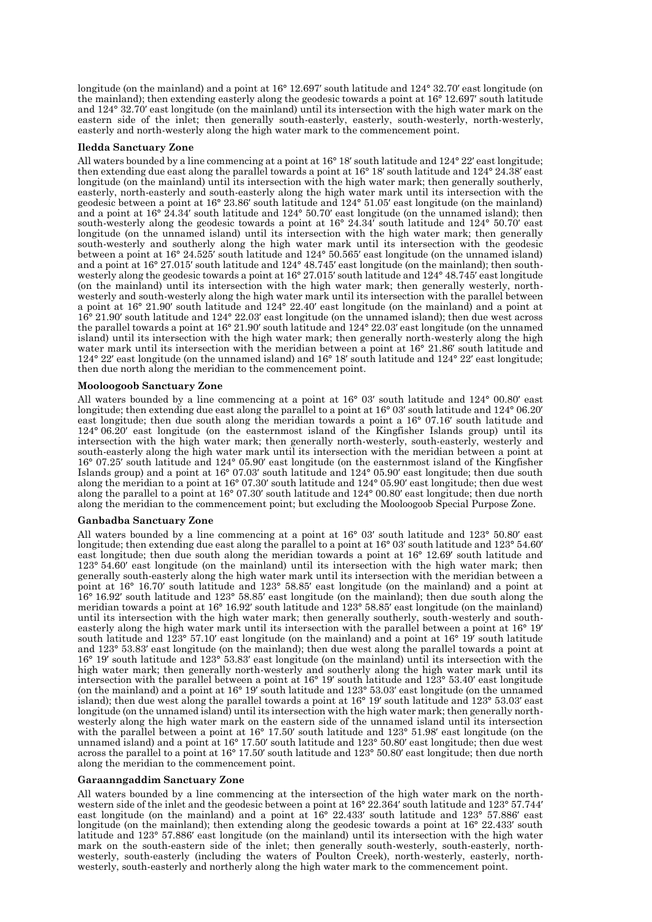longitude (on the mainland) and a point at 16° 12.697′ south latitude and 124° 32.70′ east longitude (on the mainland); then extending easterly along the geodesic towards a point at 16° 12.697′ south latitude and 124° 32.70′ east longitude (on the mainland) until its intersection with the high water mark on the eastern side of the inlet; then generally south-easterly, easterly, south-westerly, north-westerly, easterly and north-westerly along the high water mark to the commencement point.

### **Iledda Sanctuary Zone**

All waters bounded by a line commencing at a point at 16° 18′ south latitude and 124° 22′ east longitude; then extending due east along the parallel towards a point at 16° 18′ south latitude and 124° 24.38′ east longitude (on the mainland) until its intersection with the high water mark; then generally southerly, easterly, north-easterly and south-easterly along the high water mark until its intersection with the geodesic between a point at 16° 23.86′ south latitude and 124° 51.05′ east longitude (on the mainland) and a point at  $16^{\circ}$   $24.34'$  south latitude and  $124^{\circ}$  50.70' east longitude (on the unnamed island); then south-westerly along the geodesic towards a point at 16° 24.34′ south latitude and 124° 50.70′ east longitude (on the unnamed island) until its intersection with the high water mark; then generally south-westerly and southerly along the high water mark until its intersection with the geodesic between a point at 16° 24.525′ south latitude and 124° 50.565′ east longitude (on the unnamed island) and a point at 16° 27.015′ south latitude and 124° 48.745′ east longitude (on the mainland); then southwesterly along the geodesic towards a point at 16° 27.015′ south latitude and 124° 48.745′ east longitude (on the mainland) until its intersection with the high water mark; then generally westerly, northwesterly and south-westerly along the high water mark until its intersection with the parallel between a point at 16° 21.90′ south latitude and 124° 22.40′ east longitude (on the mainland) and a point at 16° 21.90′ south latitude and 124° 22.03′ east longitude (on the unnamed island); then due west across the parallel towards a point at 16° 21.90′ south latitude and 124° 22.03′ east longitude (on the unnamed island) until its intersection with the high water mark; then generally north-westerly along the high water mark until its intersection with the meridian between a point at 16° 21.86′ south latitude and 124° 22′ east longitude (on the unnamed island) and 16° 18′ south latitude and 124° 22′ east longitude; then due north along the meridian to the commencement point.

### **Mooloogoob Sanctuary Zone**

All waters bounded by a line commencing at a point at 16° 03′ south latitude and 124° 00.80′ east longitude; then extending due east along the parallel to a point at 16° 03′ south latitude and 124° 06.20′ east longitude; then due south along the meridian towards a point a 16° 07.16′ south latitude and 124° 06.20′ east longitude (on the easternmost island of the Kingfisher Islands group) until its intersection with the high water mark; then generally north-westerly, south-easterly, westerly and south-easterly along the high water mark until its intersection with the meridian between a point at 16° 07.25′ south latitude and 124° 05.90′ east longitude (on the easternmost island of the Kingfisher Islands group) and a point at 16° 07.03′ south latitude and 124° 05.90′ east longitude; then due south along the meridian to a point at 16° 07.30′ south latitude and 124° 05.90′ east longitude; then due west along the parallel to a point at 16° 07.30′ south latitude and 124° 00.80′ east longitude; then due north along the meridian to the commencement point; but excluding the Mooloogoob Special Purpose Zone.

## **Ganbadba Sanctuary Zone**

All waters bounded by a line commencing at a point at 16° 03′ south latitude and 123° 50.80′ east longitude; then extending due east along the parallel to a point at 16° 03′ south latitude and 123° 54.60′ east longitude; then due south along the meridian towards a point at 16° 12.69′ south latitude and 123° 54.60′ east longitude (on the mainland) until its intersection with the high water mark; then generally south-easterly along the high water mark until its intersection with the meridian between a point at 16° 16.70′ south latitude and 123° 58.85′ east longitude (on the mainland) and a point at 16° 16.92′ south latitude and 123° 58.85′ east longitude (on the mainland); then due south along the meridian towards a point at 16° 16.92′ south latitude and 123° 58.85′ east longitude (on the mainland) until its intersection with the high water mark; then generally southerly, south-westerly and southeasterly along the high water mark until its intersection with the parallel between a point at 16° 19′ south latitude and 123° 57.10′ east longitude (on the mainland) and a point at 16° 19′ south latitude and 123° 53.83′ east longitude (on the mainland); then due west along the parallel towards a point at 16° 19′ south latitude and 123° 53.83′ east longitude (on the mainland) until its intersection with the high water mark; then generally north-westerly and southerly along the high water mark until its intersection with the parallel between a point at 16° 19′ south latitude and 123° 53.40′ east longitude (on the mainland) and a point at 16° 19′ south latitude and 123° 53.03′ east longitude (on the unnamed island); then due west along the parallel towards a point at 16° 19′ south latitude and 123° 53.03′ east longitude (on the unnamed island) until its intersection with the high water mark; then generally northwesterly along the high water mark on the eastern side of the unnamed island until its intersection with the parallel between a point at 16° 17.50′ south latitude and 123° 51.98′ east longitude (on the unnamed island) and a point at 16° 17.50′ south latitude and 123° 50.80′ east longitude; then due west across the parallel to a point at 16° 17.50′ south latitude and 123° 50.80′ east longitude; then due north along the meridian to the commencement point.

## **Garaanngaddim Sanctuary Zone**

All waters bounded by a line commencing at the intersection of the high water mark on the northwestern side of the inlet and the geodesic between a point at 16° 22.364′ south latitude and 123° 57.744′ east longitude (on the mainland) and a point at 16° 22.433′ south latitude and 123° 57.886′ east longitude (on the mainland); then extending along the geodesic towards a point at 16° 22.433′ south latitude and 123° 57.886′ east longitude (on the mainland) until its intersection with the high water mark on the south-eastern side of the inlet; then generally south-westerly, south-easterly, northwesterly, south-easterly (including the waters of Poulton Creek), north-westerly, easterly, northwesterly, south-easterly and northerly along the high water mark to the commencement point.